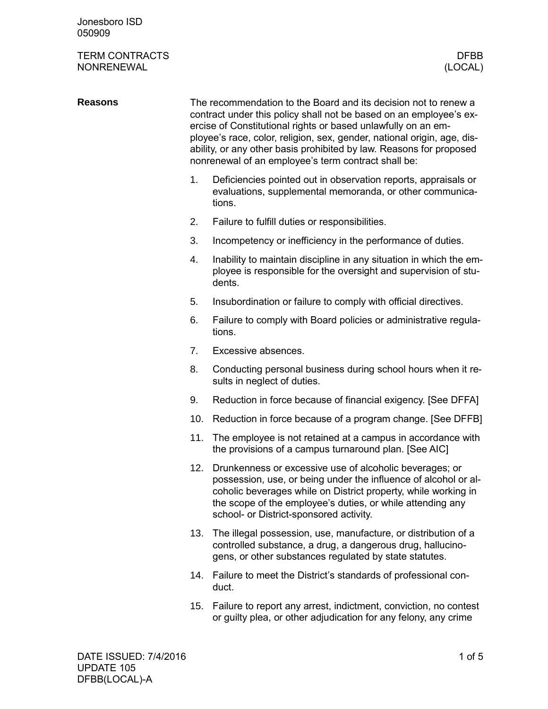## TERM CONTRACTS DFBB NONRENEWAL

| <b>Reasons</b> | The recommendation to the Board and its decision not to renew a<br>contract under this policy shall not be based on an employee's ex-<br>ercise of Constitutional rights or based unlawfully on an em-<br>ployee's race, color, religion, sex, gender, national origin, age, dis-<br>ability, or any other basis prohibited by law. Reasons for proposed<br>nonrenewal of an employee's term contract shall be: |                                                                                                                                                                                                                                                                                                       |  |
|----------------|-----------------------------------------------------------------------------------------------------------------------------------------------------------------------------------------------------------------------------------------------------------------------------------------------------------------------------------------------------------------------------------------------------------------|-------------------------------------------------------------------------------------------------------------------------------------------------------------------------------------------------------------------------------------------------------------------------------------------------------|--|
|                | 1.                                                                                                                                                                                                                                                                                                                                                                                                              | Deficiencies pointed out in observation reports, appraisals or<br>evaluations, supplemental memoranda, or other communica-<br>tions.                                                                                                                                                                  |  |
|                | 2.                                                                                                                                                                                                                                                                                                                                                                                                              | Failure to fulfill duties or responsibilities.                                                                                                                                                                                                                                                        |  |
|                | 3.                                                                                                                                                                                                                                                                                                                                                                                                              | Incompetency or inefficiency in the performance of duties.                                                                                                                                                                                                                                            |  |
|                | 4.                                                                                                                                                                                                                                                                                                                                                                                                              | Inability to maintain discipline in any situation in which the em-<br>ployee is responsible for the oversight and supervision of stu-<br>dents.                                                                                                                                                       |  |
|                | 5.                                                                                                                                                                                                                                                                                                                                                                                                              | Insubordination or failure to comply with official directives.                                                                                                                                                                                                                                        |  |
|                | 6.                                                                                                                                                                                                                                                                                                                                                                                                              | Failure to comply with Board policies or administrative regula-<br>tions.                                                                                                                                                                                                                             |  |
|                | 7.                                                                                                                                                                                                                                                                                                                                                                                                              | Excessive absences.                                                                                                                                                                                                                                                                                   |  |
|                | 8.                                                                                                                                                                                                                                                                                                                                                                                                              | Conducting personal business during school hours when it re-<br>sults in neglect of duties.                                                                                                                                                                                                           |  |
|                | 9.                                                                                                                                                                                                                                                                                                                                                                                                              | Reduction in force because of financial exigency. [See DFFA]                                                                                                                                                                                                                                          |  |
|                | 10.                                                                                                                                                                                                                                                                                                                                                                                                             | Reduction in force because of a program change. [See DFFB]                                                                                                                                                                                                                                            |  |
|                | 11.                                                                                                                                                                                                                                                                                                                                                                                                             | The employee is not retained at a campus in accordance with<br>the provisions of a campus turnaround plan. [See AIC]                                                                                                                                                                                  |  |
|                | 12.                                                                                                                                                                                                                                                                                                                                                                                                             | Drunkenness or excessive use of alcoholic beverages; or<br>possession, use, or being under the influence of alcohol or al-<br>coholic beverages while on District property, while working in<br>the scope of the employee's duties, or while attending any<br>school- or District-sponsored activity. |  |
|                | 13.                                                                                                                                                                                                                                                                                                                                                                                                             | The illegal possession, use, manufacture, or distribution of a<br>controlled substance, a drug, a dangerous drug, hallucino-<br>gens, or other substances regulated by state statutes.                                                                                                                |  |
|                | 14.                                                                                                                                                                                                                                                                                                                                                                                                             | Failure to meet the District's standards of professional con-<br>duct.                                                                                                                                                                                                                                |  |

15. Failure to report any arrest, indictment, conviction, no contest or guilty plea, or other adjudication for any felony, any crime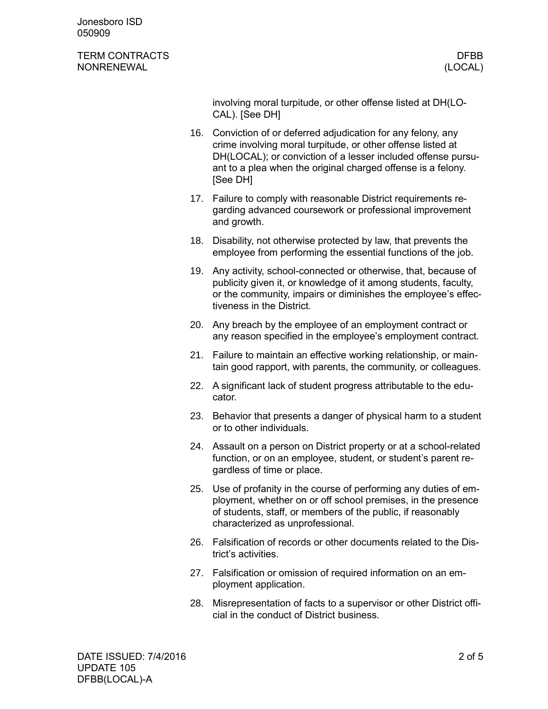Jonesboro ISD 050909

## TERM CONTRACTS DEBATE AND THE SERVICE OF THE SERVICE OF THE SERVICE OF THE SERVICE OF THE SERVICE OF THE SERVICE OF THE SERVICE OF THE SERVICE OF THE SERVICE OF THE SERVICE OF THE SERVICE OF THE SERVICE OF THE SERVICE OF T NONRENEWAL (LOCAL)

involving moral turpitude, or other offense listed at DH(LO-CAL). [See DH]

- 16. Conviction of or deferred adjudication for any felony, any crime involving moral turpitude, or other offense listed at DH(LOCAL); or conviction of a lesser included offense pursuant to a plea when the original charged offense is a felony. [See DH]
- 17. Failure to comply with reasonable District requirements regarding advanced coursework or professional improvement and growth.
- 18. Disability, not otherwise protected by law, that prevents the employee from performing the essential functions of the job.
- 19. Any activity, school-connected or otherwise, that, because of publicity given it, or knowledge of it among students, faculty, or the community, impairs or diminishes the employee's effectiveness in the District.
- 20. Any breach by the employee of an employment contract or any reason specified in the employee's employment contract.
- 21. Failure to maintain an effective working relationship, or maintain good rapport, with parents, the community, or colleagues.
- 22. A significant lack of student progress attributable to the educator.
- 23. Behavior that presents a danger of physical harm to a student or to other individuals.
- 24. Assault on a person on District property or at a school-related function, or on an employee, student, or student's parent regardless of time or place.
- 25. Use of profanity in the course of performing any duties of employment, whether on or off school premises, in the presence of students, staff, or members of the public, if reasonably characterized as unprofessional.
- 26. Falsification of records or other documents related to the District's activities.
- 27. Falsification or omission of required information on an employment application.
- 28. Misrepresentation of facts to a supervisor or other District official in the conduct of District business.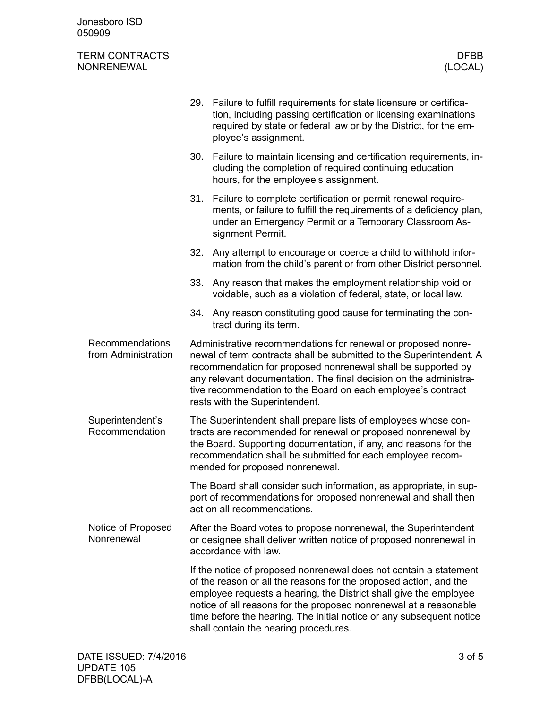Jonesboro ISD 050909

## TERM CONTRACTS DFBB NONRENEWAL

|                                               |                                                                                                                                                                                                                                                                                                                                                                             | 29. Failure to fulfill requirements for state licensure or certifica-<br>tion, including passing certification or licensing examinations<br>required by state or federal law or by the District, for the em-<br>ployee's assignment.                                                                                                                                                              |  |
|-----------------------------------------------|-----------------------------------------------------------------------------------------------------------------------------------------------------------------------------------------------------------------------------------------------------------------------------------------------------------------------------------------------------------------------------|---------------------------------------------------------------------------------------------------------------------------------------------------------------------------------------------------------------------------------------------------------------------------------------------------------------------------------------------------------------------------------------------------|--|
|                                               | 30.                                                                                                                                                                                                                                                                                                                                                                         | Failure to maintain licensing and certification requirements, in-<br>cluding the completion of required continuing education<br>hours, for the employee's assignment.                                                                                                                                                                                                                             |  |
|                                               | 31.                                                                                                                                                                                                                                                                                                                                                                         | Failure to complete certification or permit renewal require-<br>ments, or failure to fulfill the requirements of a deficiency plan,<br>under an Emergency Permit or a Temporary Classroom As-<br>signment Permit.                                                                                                                                                                                 |  |
|                                               | 32.                                                                                                                                                                                                                                                                                                                                                                         | Any attempt to encourage or coerce a child to withhold infor-<br>mation from the child's parent or from other District personnel.                                                                                                                                                                                                                                                                 |  |
|                                               | 33.                                                                                                                                                                                                                                                                                                                                                                         | Any reason that makes the employment relationship void or<br>voidable, such as a violation of federal, state, or local law.                                                                                                                                                                                                                                                                       |  |
|                                               | 34.                                                                                                                                                                                                                                                                                                                                                                         | Any reason constituting good cause for terminating the con-<br>tract during its term.                                                                                                                                                                                                                                                                                                             |  |
| <b>Recommendations</b><br>from Administration | Administrative recommendations for renewal or proposed nonre-<br>newal of term contracts shall be submitted to the Superintendent. A<br>recommendation for proposed nonrenewal shall be supported by<br>any relevant documentation. The final decision on the administra-<br>tive recommendation to the Board on each employee's contract<br>rests with the Superintendent. |                                                                                                                                                                                                                                                                                                                                                                                                   |  |
| Superintendent's<br>Recommendation            | The Superintendent shall prepare lists of employees whose con-<br>tracts are recommended for renewal or proposed nonrenewal by<br>the Board. Supporting documentation, if any, and reasons for the<br>recommendation shall be submitted for each employee recom-<br>mended for proposed nonrenewal.                                                                         |                                                                                                                                                                                                                                                                                                                                                                                                   |  |
|                                               |                                                                                                                                                                                                                                                                                                                                                                             | The Board shall consider such information, as appropriate, in sup-<br>port of recommendations for proposed nonrenewal and shall then<br>act on all recommendations.                                                                                                                                                                                                                               |  |
| Notice of Proposed<br>Nonrenewal              | After the Board votes to propose nonrenewal, the Superintendent<br>or designee shall deliver written notice of proposed nonrenewal in<br>accordance with law.                                                                                                                                                                                                               |                                                                                                                                                                                                                                                                                                                                                                                                   |  |
|                                               |                                                                                                                                                                                                                                                                                                                                                                             | If the notice of proposed nonrenewal does not contain a statement<br>of the reason or all the reasons for the proposed action, and the<br>employee requests a hearing, the District shall give the employee<br>notice of all reasons for the proposed nonrenewal at a reasonable<br>time before the hearing. The initial notice or any subsequent notice<br>shall contain the hearing procedures. |  |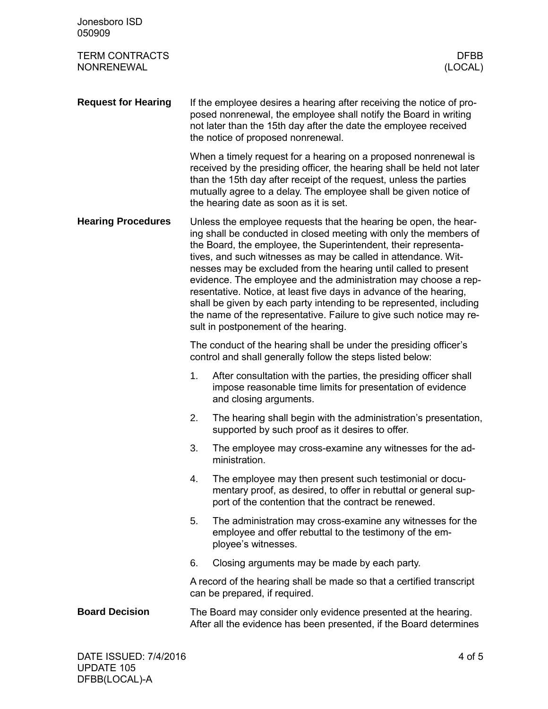| Jonesboro ISD<br>050909                    |                                                                                                                                                                                                                                                                                                                                                                                                                                                                                                                                                                                                                                                                             |                                                                                                                                                                                                                                                                                                                               |
|--------------------------------------------|-----------------------------------------------------------------------------------------------------------------------------------------------------------------------------------------------------------------------------------------------------------------------------------------------------------------------------------------------------------------------------------------------------------------------------------------------------------------------------------------------------------------------------------------------------------------------------------------------------------------------------------------------------------------------------|-------------------------------------------------------------------------------------------------------------------------------------------------------------------------------------------------------------------------------------------------------------------------------------------------------------------------------|
| <b>TERM CONTRACTS</b><br><b>NONRENEWAL</b> |                                                                                                                                                                                                                                                                                                                                                                                                                                                                                                                                                                                                                                                                             | <b>DFBB</b><br>(LOCAL)                                                                                                                                                                                                                                                                                                        |
| <b>Request for Hearing</b>                 |                                                                                                                                                                                                                                                                                                                                                                                                                                                                                                                                                                                                                                                                             | If the employee desires a hearing after receiving the notice of pro-<br>posed nonrenewal, the employee shall notify the Board in writing<br>not later than the 15th day after the date the employee received<br>the notice of proposed nonrenewal.                                                                            |
|                                            |                                                                                                                                                                                                                                                                                                                                                                                                                                                                                                                                                                                                                                                                             | When a timely request for a hearing on a proposed nonrenewal is<br>received by the presiding officer, the hearing shall be held not later<br>than the 15th day after receipt of the request, unless the parties<br>mutually agree to a delay. The employee shall be given notice of<br>the hearing date as soon as it is set. |
| <b>Hearing Procedures</b>                  | Unless the employee requests that the hearing be open, the hear-<br>ing shall be conducted in closed meeting with only the members of<br>the Board, the employee, the Superintendent, their representa-<br>tives, and such witnesses as may be called in attendance. Wit-<br>nesses may be excluded from the hearing until called to present<br>evidence. The employee and the administration may choose a rep-<br>resentative. Notice, at least five days in advance of the hearing,<br>shall be given by each party intending to be represented, including<br>the name of the representative. Failure to give such notice may re-<br>sult in postponement of the hearing. |                                                                                                                                                                                                                                                                                                                               |
|                                            |                                                                                                                                                                                                                                                                                                                                                                                                                                                                                                                                                                                                                                                                             | The conduct of the hearing shall be under the presiding officer's<br>control and shall generally follow the steps listed below:                                                                                                                                                                                               |
|                                            | 1.                                                                                                                                                                                                                                                                                                                                                                                                                                                                                                                                                                                                                                                                          | After consultation with the parties, the presiding officer shall<br>impose reasonable time limits for presentation of evidence<br>and closing arguments.                                                                                                                                                                      |
|                                            | 2.                                                                                                                                                                                                                                                                                                                                                                                                                                                                                                                                                                                                                                                                          | The hearing shall begin with the administration's presentation,<br>supported by such proof as it desires to offer.                                                                                                                                                                                                            |
|                                            | 3.                                                                                                                                                                                                                                                                                                                                                                                                                                                                                                                                                                                                                                                                          | The employee may cross-examine any witnesses for the ad-<br>ministration.                                                                                                                                                                                                                                                     |
|                                            | 4.                                                                                                                                                                                                                                                                                                                                                                                                                                                                                                                                                                                                                                                                          | The employee may then present such testimonial or docu-<br>mentary proof, as desired, to offer in rebuttal or general sup-<br>port of the contention that the contract be renewed.                                                                                                                                            |
|                                            | 5.                                                                                                                                                                                                                                                                                                                                                                                                                                                                                                                                                                                                                                                                          | The administration may cross-examine any witnesses for the<br>employee and offer rebuttal to the testimony of the em-<br>ployee's witnesses.                                                                                                                                                                                  |
|                                            | 6.                                                                                                                                                                                                                                                                                                                                                                                                                                                                                                                                                                                                                                                                          | Closing arguments may be made by each party.                                                                                                                                                                                                                                                                                  |
|                                            |                                                                                                                                                                                                                                                                                                                                                                                                                                                                                                                                                                                                                                                                             | A record of the hearing shall be made so that a certified transcript<br>can be prepared, if required.                                                                                                                                                                                                                         |
| <b>Board Decision</b>                      |                                                                                                                                                                                                                                                                                                                                                                                                                                                                                                                                                                                                                                                                             | The Board may consider only evidence presented at the hearing.<br>After all the evidence has been presented, if the Board determines                                                                                                                                                                                          |